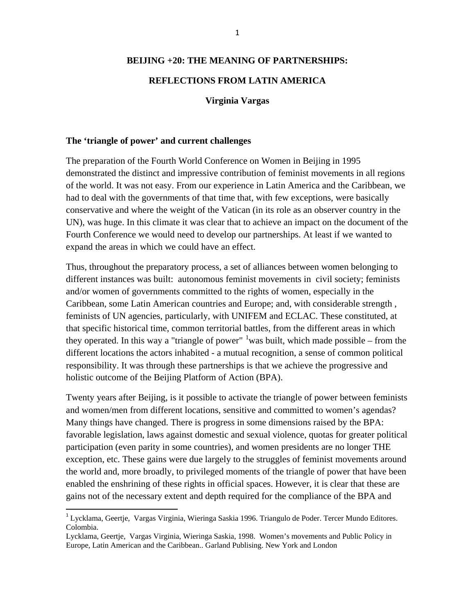#### **BEIJING +20: THE MEANING OF PARTNERSHIPS:**

## **REFLECTIONS FROM LATIN AMERICA**

#### **Virginia Vargas**

#### **The 'triangle of power' and current challenges**

The preparation of the Fourth World Conference on Women in Beijing in 1995 demonstrated the distinct and impressive contribution of feminist movements in all regions of the world. It was not easy. From our experience in Latin America and the Caribbean, we had to deal with the governments of that time that, with few exceptions, were basically conservative and where the weight of the Vatican (in its role as an observer country in the UN), was huge. In this climate it was clear that to achieve an impact on the document of the Fourth Conference we would need to develop our partnerships. At least if we wanted to expand the areas in which we could have an effect.

Thus, throughout the preparatory process, a set of alliances between women belonging to different instances was built: autonomous feminist movements in civil society; feminists and/or women of governments committed to the rights of women, especially in the Caribbean, some Latin American countries and Europe; and, with considerable strength , feminists of UN agencies, particularly, with UNIFEM and ECLAC. These constituted, at that specific historical time, common territorial battles, from the different areas in which they operated. In this way a "triangle of power"  $\frac{1}{1}$  $\frac{1}{1}$  $\frac{1}{1}$  was built, which made possible – from the different locations the actors inhabited - a mutual recognition, a sense of common political responsibility. It was through these partnerships is that we achieve the progressive and holistic outcome of the Beijing Platform of Action (BPA).

Twenty years after Beijing, is it possible to activate the triangle of power between feminists and women/men from different locations, sensitive and committed to women's agendas? Many things have changed. There is progress in some dimensions raised by the BPA: favorable legislation, laws against domestic and sexual violence, quotas for greater political participation (even parity in some countries), and women presidents are no longer THE exception, etc. These gains were due largely to the struggles of feminist movements around the world and, more broadly, to privileged moments of the triangle of power that have been enabled the enshrining of these rights in official spaces. However, it is clear that these are gains not of the necessary extent and depth required for the compliance of the BPA and

<span id="page-0-0"></span> <sup>1</sup> Lycklama, Geertje, Vargas Virginia, Wieringa Saskia 1996. Triangulo de Poder. Tercer Mundo Editores. Colombia.

Lycklama, Geertje, Vargas Virginia, Wieringa Saskia, 1998. Women's movements and Public Policy in Europe, Latin American and the Caribbean.. Garland Publising. New York and London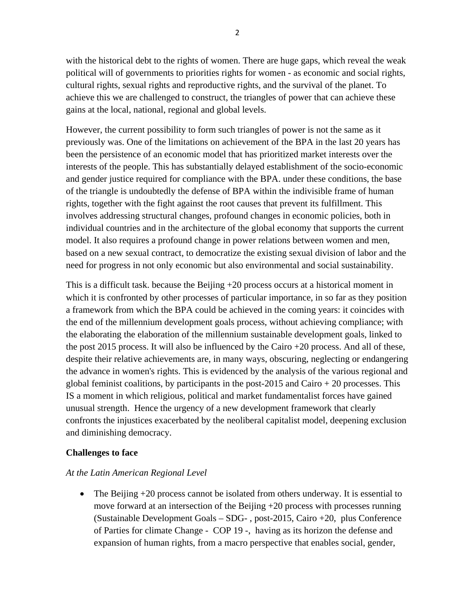with the historical debt to the rights of women. There are huge gaps, which reveal the weak political will of governments to priorities rights for women - as economic and social rights, cultural rights, sexual rights and reproductive rights, and the survival of the planet. To achieve this we are challenged to construct, the triangles of power that can achieve these gains at the local, national, regional and global levels.

However, the current possibility to form such triangles of power is not the same as it previously was. One of the limitations on achievement of the BPA in the last 20 years has been the persistence of an economic model that has prioritized market interests over the interests of the people. This has substantially delayed establishment of the socio-economic and gender justice required for compliance with the BPA. under these conditions, the base of the triangle is undoubtedly the defense of BPA within the indivisible frame of human rights, together with the fight against the root causes that prevent its fulfillment. This involves addressing structural changes, profound changes in economic policies, both in individual countries and in the architecture of the global economy that supports the current model. It also requires a profound change in power relations between women and men, based on a new sexual contract, to democratize the existing sexual division of labor and the need for progress in not only economic but also environmental and social sustainability.

This is a difficult task. because the Beijing +20 process occurs at a historical moment in which it is confronted by other processes of particular importance, in so far as they position a framework from which the BPA could be achieved in the coming years: it coincides with the end of the millennium development goals process, without achieving compliance; with the elaborating the elaboration of the millennium sustainable development goals, linked to the post 2015 process. It will also be influenced by the Cairo +20 process. And all of these, despite their relative achievements are, in many ways, obscuring, neglecting or endangering the advance in women's rights. This is evidenced by the analysis of the various regional and global feminist coalitions, by participants in the post-2015 and Cairo  $+ 20$  processes. This IS a moment in which religious, political and market fundamentalist forces have gained unusual strength. Hence the urgency of a new development framework that clearly confronts the injustices exacerbated by the neoliberal capitalist model, deepening exclusion and diminishing democracy.

### **Challenges to face**

# *At the Latin American Regional Level*

• The Beijing +20 process cannot be isolated from others underway. It is essential to move forward at an intersection of the Beijing  $+20$  process with processes running (Sustainable Development Goals – SDG- , post-2015, Cairo +20, plus Conference of Parties for climate Change - COP 19 -, having as its horizon the defense and expansion of human rights, from a macro perspective that enables social, gender,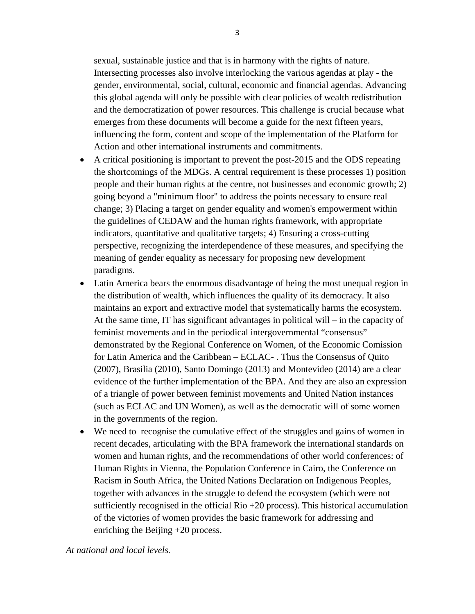sexual, sustainable justice and that is in harmony with the rights of nature. Intersecting processes also involve interlocking the various agendas at play - the gender, environmental, social, cultural, economic and financial agendas. Advancing this global agenda will only be possible with clear policies of wealth redistribution and the democratization of power resources. This challenge is crucial because what emerges from these documents will become a guide for the next fifteen years, influencing the form, content and scope of the implementation of the Platform for Action and other international instruments and commitments.

- A critical positioning is important to prevent the post-2015 and the ODS repeating the shortcomings of the MDGs. A central requirement is these processes 1) position people and their human rights at the centre, not businesses and economic growth; 2) going beyond a "minimum floor" to address the points necessary to ensure real change; 3) Placing a target on gender equality and women's empowerment within the guidelines of CEDAW and the human rights framework, with appropriate indicators, quantitative and qualitative targets; 4) Ensuring a cross-cutting perspective, recognizing the interdependence of these measures, and specifying the meaning of gender equality as necessary for proposing new development paradigms.
- Latin America bears the enormous disadvantage of being the most unequal region in the distribution of wealth, which influences the quality of its democracy. It also maintains an export and extractive model that systematically harms the ecosystem. At the same time, IT has significant advantages in political will – in the capacity of feminist movements and in the periodical intergovernmental "consensus" demonstrated by the Regional Conference on Women, of the Economic Comission for Latin America and the Caribbean – ECLAC- . Thus the Consensus of Quito (2007), Brasilia (2010), Santo Domingo (2013) and Montevideo (2014) are a clear evidence of the further implementation of the BPA. And they are also an expression of a triangle of power between feminist movements and United Nation instances (such as ECLAC and UN Women), as well as the democratic will of some women in the governments of the region.
- We need to recognise the cumulative effect of the struggles and gains of women in recent decades, articulating with the BPA framework the international standards on women and human rights, and the recommendations of other world conferences: of Human Rights in Vienna, the Population Conference in Cairo, the Conference on Racism in South Africa, the United Nations Declaration on Indigenous Peoples, together with advances in the struggle to defend the ecosystem (which were not sufficiently recognised in the official Rio  $+20$  process). This historical accumulation of the victories of women provides the basic framework for addressing and enriching the Beijing +20 process.

*At national and local levels.*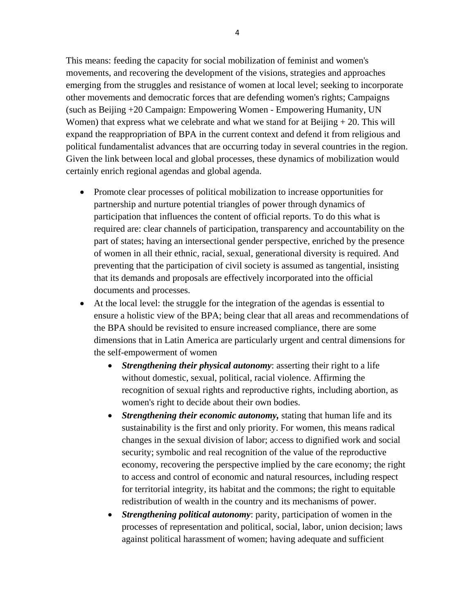This means: feeding the capacity for social mobilization of feminist and women's movements, and recovering the development of the visions, strategies and approaches emerging from the struggles and resistance of women at local level; seeking to incorporate other movements and democratic forces that are defending women's rights; Campaigns (such as Beijing +20 Campaign: Empowering Women - Empowering Humanity, UN Women) that express what we celebrate and what we stand for at Beijing  $+ 20$ . This will expand the reappropriation of BPA in the current context and defend it from religious and political fundamentalist advances that are occurring today in several countries in the region. Given the link between local and global processes, these dynamics of mobilization would certainly enrich regional agendas and global agenda.

- Promote clear processes of political mobilization to increase opportunities for partnership and nurture potential triangles of power through dynamics of participation that influences the content of official reports. To do this what is required are: clear channels of participation, transparency and accountability on the part of states; having an intersectional gender perspective, enriched by the presence of women in all their ethnic, racial, sexual, generational diversity is required. And preventing that the participation of civil society is assumed as tangential, insisting that its demands and proposals are effectively incorporated into the official documents and processes.
- At the local level: the struggle for the integration of the agendas is essential to ensure a holistic view of the BPA; being clear that all areas and recommendations of the BPA should be revisited to ensure increased compliance, there are some dimensions that in Latin America are particularly urgent and central dimensions for the self-empowerment of women
	- *Strengthening their physical autonomy*: asserting their right to a life without domestic, sexual, political, racial violence. Affirming the recognition of sexual rights and reproductive rights, including abortion, as women's right to decide about their own bodies.
	- *Strengthening their economic autonomy,* stating that human life and its sustainability is the first and only priority. For women, this means radical changes in the sexual division of labor; access to dignified work and social security; symbolic and real recognition of the value of the reproductive economy, recovering the perspective implied by the care economy; the right to access and control of economic and natural resources, including respect for territorial integrity, its habitat and the commons; the right to equitable redistribution of wealth in the country and its mechanisms of power.
	- *Strengthening political autonomy*: parity, participation of women in the processes of representation and political, social, labor, union decision; laws against political harassment of women; having adequate and sufficient